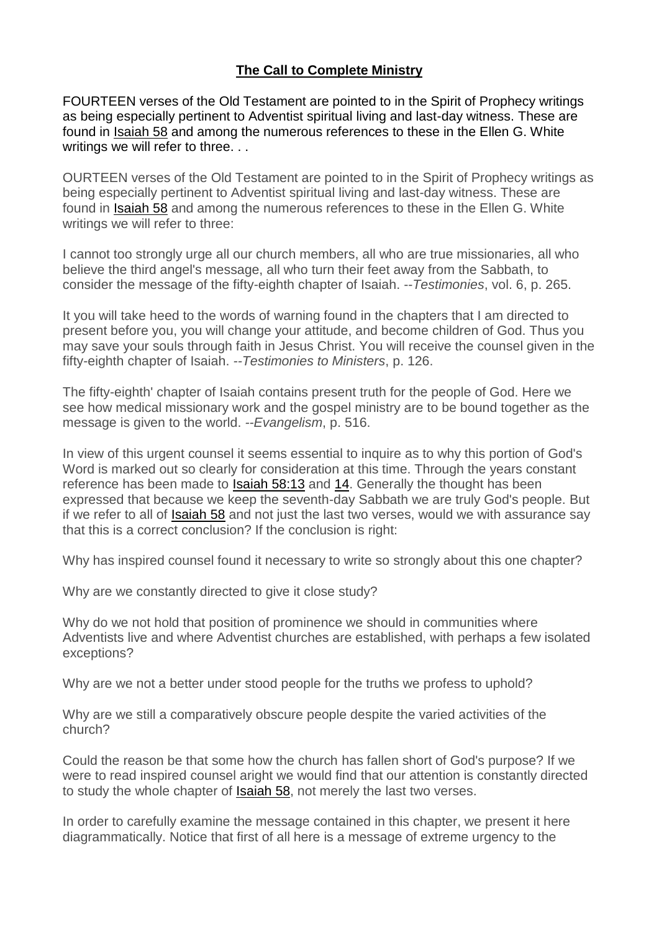## **[The Call to Complete Ministry](https://www.ministrymagazine.org/)**

FOURTEEN verses of the Old Testament are pointed to in the Spirit of Prophecy writings as being especially pertinent to Adventist spiritual living and last-day witness. These are found in [Isaiah 58](https://biblia.com/bible/esv/Isa%2058) and among the numerous references to these in the Ellen G. White writings we will refer to three...

OURTEEN verses of the Old Testament are pointed to in the Spirit of Prophecy writings as being especially pertinent to Adventist spiritual living and last-day witness. These are found in [Isaiah](https://biblia.com/bible/esv/Isa%2058) 58 and among the numerous references to these in the Ellen G. White writings we will refer to three:

I cannot too strongly urge all our church members, all who are true missionaries, all who believe the third angel's message, all who turn their feet away from the Sabbath, to consider the message of the fifty-eighth chapter of Isaiah. --*Testimonies*, vol. 6, p. 265.

It you will take heed to the words of warning found in the chapters that I am directed to present before you, you will change your attitude, and become children of God. Thus you may save your souls through faith in Jesus Christ. You will receive the counsel given in the fifty-eighth chapter of Isaiah. *--Testimonies to Ministers*, p. 126.

The fifty-eighth' chapter of Isaiah contains present truth for the people of God. Here we see how medical missionary work and the gospel ministry are to be bound together as the message is given to the world. *--Evangelism*, p. 516.

In view of this urgent counsel it seems essential to inquire as to why this portion of God's Word is marked out so clearly for consideration at this time. Through the years constant reference has been made to [Isaiah](https://biblia.com/bible/esv/Isa%2058.13) 58:13 and [14.](https://biblia.com/bible/esv/Isaiah%2058.14) Generally the thought has been expressed that because we keep the seventh-day Sabbath we are truly God's people. But if we refer to all of [Isaiah](https://biblia.com/bible/esv/Isa%2058) 58 and not just the last two verses, would we with assurance say that this is a correct conclusion? If the conclusion is right:

Why has inspired counsel found it necessary to write so strongly about this one chapter?

Why are we constantly directed to give it close study?

Why do we not hold that position of prominence we should in communities where Adventists live and where Adventist churches are established, with perhaps a few isolated exceptions?

Why are we not a better under stood people for the truths we profess to uphold?

Why are we still a comparatively obscure people despite the varied activities of the church?

Could the reason be that some how the church has fallen short of God's purpose? If we were to read inspired counsel aright we would find that our attention is constantly directed to study the whole chapter of [Isaiah](https://biblia.com/bible/esv/Isa%2058) 58, not merely the last two verses.

In order to carefully examine the message contained in this chapter, we present it here diagrammatically. Notice that first of all here is a message of extreme urgency to the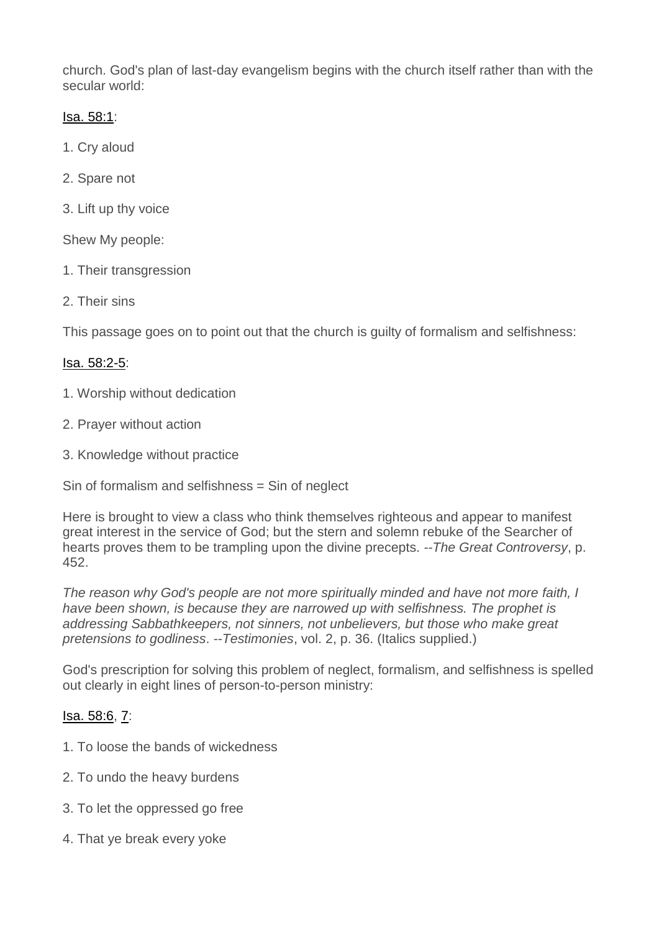church. God's plan of last-day evangelism begins with the church itself rather than with the secular world:

## Isa. [58:1:](https://biblia.com/bible/esv/Isa.%2058.1)

- 1. Cry aloud
- 2. Spare not
- 3. Lift up thy voice

Shew My people:

- 1. Their transgression
- 2. Their sins

This passage goes on to point out that the church is guilty of formalism and selfishness:

## Isa. [58:2-5:](https://biblia.com/bible/esv/Isa.%2058.2-5)

- 1. Worship without dedication
- 2. Prayer without action
- 3. Knowledge without practice

Sin of formalism and selfishness = Sin of neglect

Here is brought to view a class who think themselves righteous and appear to manifest great interest in the service of God; but the stern and solemn rebuke of the Searcher of hearts proves them to be trampling upon the divine precepts. *--The Great Controversy*, p. 452.

*The reason why God's people are not more spiritually minded and have not more faith, I have been shown, is because they are narrowed up with selfishness. The prophet is addressing Sabbathkeepers, not sinners, not unbelievers, but those who make great pretensions to godliness*. *--Testimonies*, vol. 2, p. 36. (Italics supplied.)

God's prescription for solving this problem of neglect, formalism, and selfishness is spelled out clearly in eight lines of person-to-person ministry:

## Isa. [58:6,](https://biblia.com/bible/esv/Isa.%2058.6) [7:](https://biblia.com/bible/esv/Isa%2058.7)

- 1. To loose the bands of wickedness
- 2. To undo the heavy burdens
- 3. To let the oppressed go free
- 4. That ye break every yoke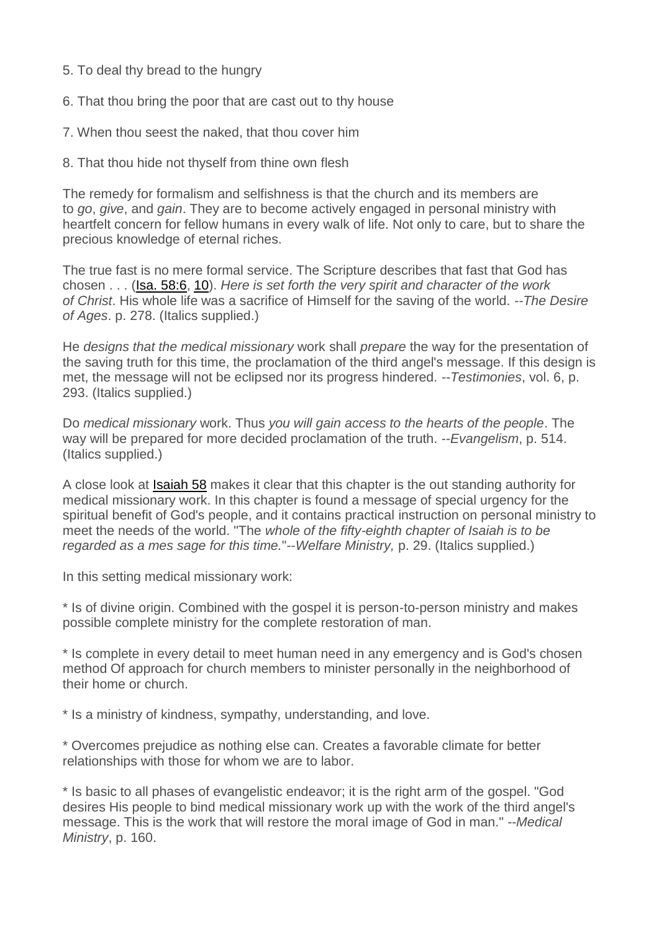- 5. To deal thy bread to the hungry
- 6. That thou bring the poor that are cast out to thy house
- 7. When thou seest the naked, that thou cover him
- 8. That thou hide not thyself from thine own flesh

The remedy for formalism and selfishness is that the church and its members are to *go*, *give*, and *gain*. They are to become actively engaged in personal ministry with heartfelt concern for fellow humans in every walk of life. Not only to care, but to share the precious knowledge of eternal riches.

The true fast is no mere formal service. The Scripture describes that fast that God has chosen . . . (Isa. [58:6,](https://biblia.com/bible/esv/Isa.%2058.6) [10\)](https://biblia.com/bible/esv/Isa%2058.10). *Here is set forth the very spirit and character of the work of Christ*. His whole life was a sacrifice of Himself for the saving of the world. *--The Desire of Ages*. p. 278. (Italics supplied.)

He *designs that the medical missionary* work shall *prepare* the way for the presentation of the saving truth for this time, the proclamation of the third angel's message. If this design is met, the message will not be eclipsed nor its progress hindered. *--Testimonies*, vol. 6, p. 293. (Italics supplied.)

Do *medical missionary* work. Thus *you will gain access to the hearts of the people*. The way will be prepared for more decided proclamation of the truth. --*Evangelism*, p. 514. (Italics supplied.)

A close look at [Isaiah](https://biblia.com/bible/esv/Isa%2058) 58 makes it clear that this chapter is the out standing authority for medical missionary work. In this chapter is found a message of special urgency for the spiritual benefit of God's people, and it contains practical instruction on personal ministry to meet the needs of the world. "The *whole of the fifty-eighth chapter of Isaiah is to be regarded as a mes sage for this time.*"--*Welfare Ministry,* p. 29. (Italics supplied.)

In this setting medical missionary work:

\* Is of divine origin. Combined with the gospel it is person-to-person ministry and makes possible complete ministry for the complete restoration of man.

\* Is complete in every detail to meet human need in any emergency and is God's chosen method Of approach for church members to minister personally in the neighborhood of their home or church.

\* Is a ministry of kindness, sympathy, understanding, and love.

\* Overcomes prejudice as nothing else can. Creates a favorable climate for better relationships with those for whom we are to labor.

\* Is basic to all phases of evangelistic endeavor; it is the right arm of the gospel. "God desires His people to bind medical missionary work up with the work of the third angel's message. This is the work that will restore the moral image of God in man." *--Medical Ministry*, p. 160.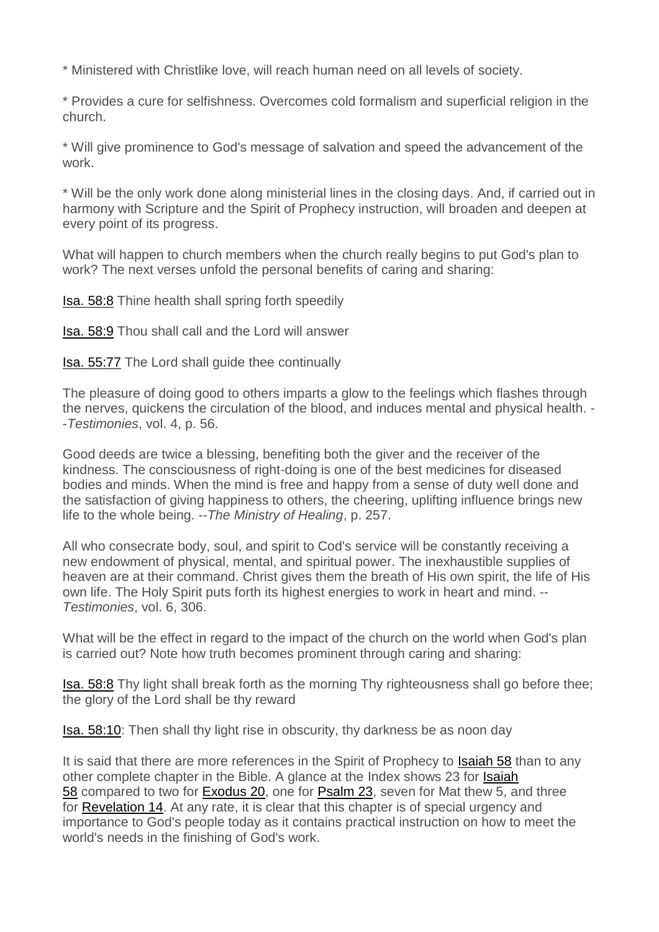\* Ministered with Christlike love, will reach human need on all levels of society.

\* Provides a cure for selfishness. Overcomes cold formalism and superficial religion in the church.

\* Will give prominence to God's message of salvation and speed the advancement of the work.

\* Will be the only work done along ministerial lines in the closing days. And, if carried out in harmony with Scripture and the Spirit of Prophecy instruction, will broaden and deepen at every point of its progress.

What will happen to church members when the church really begins to put God's plan to work? The next verses unfold the personal benefits of caring and sharing:

Isa. [58:8](https://biblia.com/bible/esv/Isa.%2058.8) Thine health shall spring forth speedily

Isa. [58:9](https://biblia.com/bible/esv/Isa.%2058.9) Thou shall call and the Lord will answer

Isa. [55:77](https://biblia.com/bible/esv/Isa.%2055.77) The Lord shall guide thee continually

The pleasure of doing good to others imparts a glow to the feelings which flashes through the nerves, quickens the circulation of the blood, and induces mental and physical health. - -*Testimonies*, vol. 4, p. 56.

Good deeds are twice a blessing, benefiting both the giver and the receiver of the kindness. The consciousness of right-doing is one of the best medicines for diseased bodies and minds. When the mind is free and happy from a sense of duty well done and the satisfaction of giving happiness to others, the cheering, uplifting influence brings new life to the whole being. --*The Ministry of Healing*, p. 257.

All who consecrate body, soul, and spirit to Cod's service will be constantly receiving a new endowment of physical, mental, and spiritual power. The inexhaustible supplies of heaven are at their command. Christ gives them the breath of His own spirit, the life of His own life. The Holy Spirit puts forth its highest energies to work in heart and mind. -- *Testimonies*, vol. 6, 306.

What will be the effect in regard to the impact of the church on the world when God's plan is carried out? Note how truth becomes prominent through caring and sharing:

Isa. [58:8](https://biblia.com/bible/esv/Isa.%2058.8) Thy light shall break forth as the morning Thy righteousness shall go before thee; the glory of the Lord shall be thy reward

**Isa. [58:10:](https://biblia.com/bible/esv/Isa.%2058.10)** Then shall thy light rise in obscurity, thy darkness be as noon day

It is said that there are more references in the Spirit of Prophecy to [Isaiah](https://biblia.com/bible/esv/Isa%2058) 58 than to any other complete chapter in the Bible. A glance at the Index shows 23 for [Isaiah](https://biblia.com/bible/esv/Isa%2058) [58](https://biblia.com/bible/esv/Isa%2058) compared to two for [Exodus](https://biblia.com/bible/esv/Exod%2020) 20, one for [Psalm](https://biblia.com/bible/esv/Ps%2023) 23, seven for Mat thew 5, and three for [Revelation](https://biblia.com/bible/esv/Rev%2014) 14. At any rate, it is clear that this chapter is of special urgency and importance to God's people today as it contains practical instruction on how to meet the world's needs in the finishing of God's work.